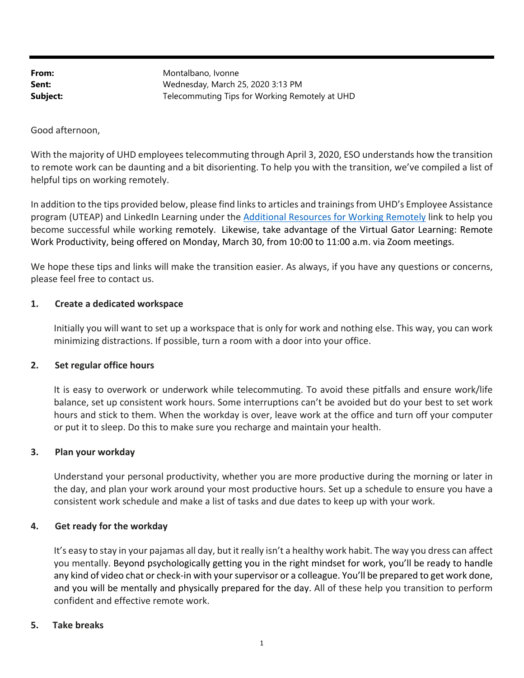From: Montalbano, Ivonne **Sent:** Wednesday, March 25, 2020 3:13 PM **Subject:** Telecommuting Tips for Working Remotely at UHD

Good afternoon,

With the majority of UHD employees telecommuting through April 3, 2020, ESO understands how the transition to remote work can be daunting and a bit disorienting. To help you with the transition, we've compiled a list of helpful tips on working remotely.

In addition to the tips provided below, please find links to articles and trainings from UHD's Employee Assistance program (UTEAP) and LinkedIn Learning under the Additional Resources for Working Remotely link to help you become successful while working remotely. Likewise, take advantage of the Virtual Gator Learning: Remote Work Productivity, being offered on Monday, March 30, from 10:00 to 11:00 a.m. via Zoom meetings.

We hope these tips and links will make the transition easier. As always, if you have any questions or concerns, please feel free to contact us.

#### **1. Create a dedicated workspace**

Initially you will want to set up a workspace that is only for work and nothing else. This way, you can work minimizing distractions. If possible, turn a room with a door into your office.

## **2. Set regular office hours**

It is easy to overwork or underwork while telecommuting. To avoid these pitfalls and ensure work/life balance, set up consistent work hours. Some interruptions can't be avoided but do your best to set work hours and stick to them. When the workday is over, leave work at the office and turn off your computer or put it to sleep. Do this to make sure you recharge and maintain your health.

#### **3. Plan your workday**

Understand your personal productivity, whether you are more productive during the morning or later in the day, and plan your work around your most productive hours. Set up a schedule to ensure you have a consistent work schedule and make a list of tasks and due dates to keep up with your work.

#### **4. Get ready for the workday**

It's easy to stay in your pajamas all day, but it really isn't a healthy work habit. The way you dress can affect you mentally. Beyond psychologically getting you in the right mindset for work, you'll be ready to handle any kind of video chat or check‐in with your supervisor or a colleague. You'll be prepared to get work done, and you will be mentally and physically prepared for the day. All of these help you transition to perform confident and effective remote work.

#### **5. Take breaks**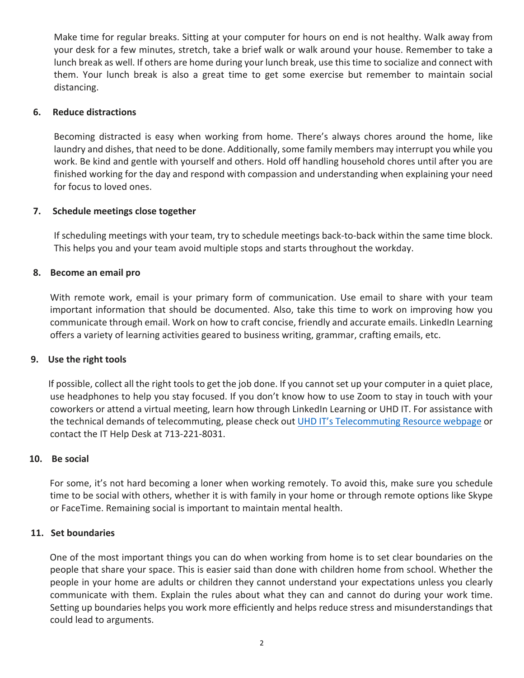Make time for regular breaks. Sitting at your computer for hours on end is not healthy. Walk away from your desk for a few minutes, stretch, take a brief walk or walk around your house. Remember to take a lunch break as well. If others are home during your lunch break, use this time to socialize and connect with them. Your lunch break is also a great time to get some exercise but remember to maintain social distancing.

# **6. Reduce distractions**

Becoming distracted is easy when working from home. There's always chores around the home, like laundry and dishes, that need to be done. Additionally, some family members may interrupt you while you work. Be kind and gentle with yourself and others. Hold off handling household chores until after you are finished working for the day and respond with compassion and understanding when explaining your need for focus to loved ones.

# **7. Schedule meetings close together**

If scheduling meetings with your team, try to schedule meetings back-to-back within the same time block. This helps you and your team avoid multiple stops and starts throughout the workday.

## **8. Become an email pro**

With remote work, email is your primary form of communication. Use email to share with your team important information that should be documented. Also, take this time to work on improving how you communicate through email. Work on how to craft concise, friendly and accurate emails. LinkedIn Learning offers a variety of learning activities geared to business writing, grammar, crafting emails, etc.

## **9. Use the right tools**

 If possible, collect all the right tools to get the job done. If you cannot set up your computer in a quiet place, use headphones to help you stay focused. If you don't know how to use Zoom to stay in touch with your coworkers or attend a virtual meeting, learn how through LinkedIn Learning or UHD IT. For assistance with the technical demands of telecommuting, please check out UHD IT's Telecommuting Resource webpage or contact the IT Help Desk at 713‐221‐8031.

## **10. Be social**

 For some, it's not hard becoming a loner when working remotely. To avoid this, make sure you schedule time to be social with others, whether it is with family in your home or through remote options like Skype or FaceTime. Remaining social is important to maintain mental health.

## **11. Set boundaries**

 One of the most important things you can do when working from home is to set clear boundaries on the people that share your space. This is easier said than done with children home from school. Whether the people in your home are adults or children they cannot understand your expectations unless you clearly communicate with them. Explain the rules about what they can and cannot do during your work time. Setting up boundaries helps you work more efficiently and helps reduce stress and misunderstandings that could lead to arguments.